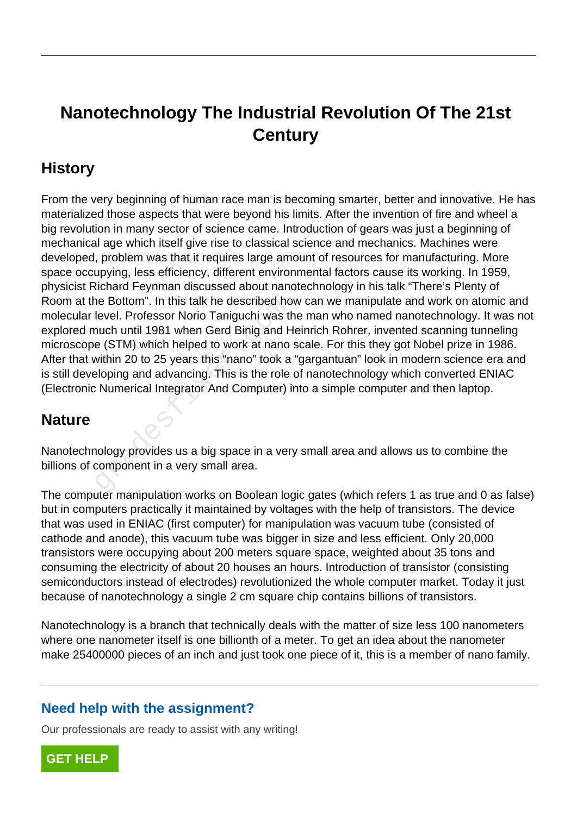# **Nanotechnology The Industrial Revolution Of The 21st Century**

## **History**

From the very beginning of human race man is becoming smarter, better and innovative. He has materialized those aspects that were beyond his limits. After the invention of fire and wheel a big revolution in many sector of science came. Introduction of gears was just a beginning of mechanical age which itself give rise to classical science and mechanics. Machines were developed, problem was that it requires large amount of resources for manufacturing. More space occupying, less efficiency, different environmental factors cause its working. In 1959, physicist Richard Feynman discussed about nanotechnology in his talk "There's Plenty of Room at the Bottom". In this talk he described how can we manipulate and work on atomic and molecular level. Professor Norio Taniguchi was the man who named nanotechnology. It was not explored much until 1981 when Gerd Binig and Heinrich Rohrer, invented scanning tunneling microscope (STM) which helped to work at nano scale. For this they got Nobel prize in 1986. After that within 20 to 25 years this "nano" took a "gargantuan" look in modern science era and is still developing and advancing. This is the role of nanotechnology which converted ENIAC (Electronic Numerical Integrator And Computer) into a simple computer and then laptop. ne Bottom". In this talk he described holderel. Professor Norio Taniguchi was the uch until 1981 when Gerd Binig and He (STM) which helped to work at nano within 20 to 25 years this "nano" took a sloping and advancing. Thi

### **Nature**

Nanotechnology provides us a big space in a very small area and allows us to combine the billions of component in a very small area.

The computer manipulation works on Boolean logic gates (which refers 1 as true and 0 as false) but in computers practically it maintained by voltages with the help of transistors. The device that was used in ENIAC (first computer) for manipulation was vacuum tube (consisted of cathode and anode), this vacuum tube was bigger in size and less efficient. Only 20,000 transistors were occupying about 200 meters square space, weighted about 35 tons and consuming the electricity of about 20 houses an hours. Introduction of transistor (consisting semiconductors instead of electrodes) revolutionized the whole computer market. Today it just because of nanotechnology a single 2 cm square chip contains billions of transistors.

Nanotechnology is a branch that technically deals with the matter of size less 100 nanometers where one nanometer itself is one billionth of a meter. To get an idea about the nanometer make 25400000 pieces of an inch and just took one piece of it, this is a member of nano family.

#### **Need help with the assignment?**

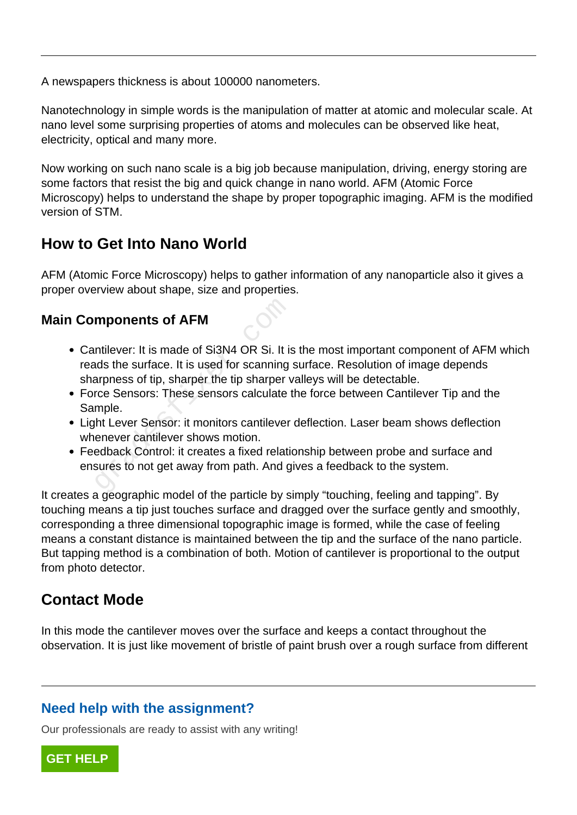A newspapers thickness is about 100000 nanometers.

Nanotechnology in simple words is the manipulation of matter at atomic and molecular scale. At nano level some surprising properties of atoms and molecules can be observed like heat, electricity, optical and many more.

Now working on such nano scale is a big job because manipulation, driving, energy storing are some factors that resist the big and quick change in nano world. AFM (Atomic Force Microscopy) helps to understand the shape by proper topographic imaging. AFM is the modified version of STM.

## **How to Get Into Nano World**

AFM (Atomic Force Microscopy) helps to gather information of any nanoparticle also it gives a proper overview about shape, size and properties.

#### **Main Components of AFM**

- Cantilever: It is made of Si3N4 OR Si. It is the most important component of AFM which reads the surface. It is used for scanning surface. Resolution of image depends sharpness of tip, sharper the tip sharper valleys will be detectable. mponents of AFM<br>
Intilever: It is made of Si3N4 OR Si. It is<br>
Intilever: It is made of Si3N4 OR Si. It is<br>
Interpress of tip, sharper the tip sharper v<br>
Interpressors: These sensors calculate t<br>
Imple.<br>
Interpressor: it mo
- Force Sensors: These sensors calculate the force between Cantilever Tip and the Sample.
- Light Lever Sensor: it monitors cantilever deflection. Laser beam shows deflection whenever cantilever shows motion.
- Feedback Control: it creates a fixed relationship between probe and surface and ensures to not get away from path. And gives a feedback to the system.

It creates a geographic model of the particle by simply "touching, feeling and tapping". By touching means a tip just touches surface and dragged over the surface gently and smoothly, corresponding a three dimensional topographic image is formed, while the case of feeling means a constant distance is maintained between the tip and the surface of the nano particle. But tapping method is a combination of both. Motion of cantilever is proportional to the output from photo detector.

## **Contact Mode**

In this mode the cantilever moves over the surface and keeps a contact throughout the observation. It is just like movement of bristle of paint brush over a rough surface from different

### **Need help with the assignment?**

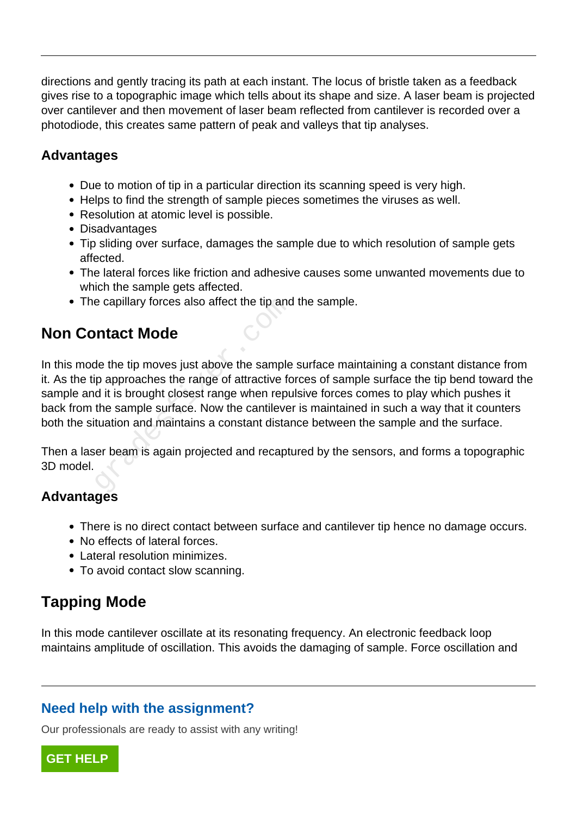directions and gently tracing its path at each instant. The locus of bristle taken as a feedback gives rise to a topographic image which tells about its shape and size. A laser beam is projected over cantilever and then movement of laser beam reflected from cantilever is recorded over a photodiode, this creates same pattern of peak and valleys that tip analyses.

#### **Advantages**

- Due to motion of tip in a particular direction its scanning speed is very high.
- Helps to find the strength of sample pieces sometimes the viruses as well.
- Resolution at atomic level is possible.
- Disadvantages
- Tip sliding over surface, damages the sample due to which resolution of sample gets affected.
- The lateral forces like friction and adhesive causes some unwanted movements due to which the sample gets affected.
- The capillary forces also affect the tip and the sample.

### **Non Contact Mode**

In this mode the tip moves just above the sample surface maintaining a constant distance from it. As the tip approaches the range of attractive forces of sample surface the tip bend toward the sample and it is brought closest range when repulsive forces comes to play which pushes it back from the sample surface. Now the cantilever is maintained in such a way that it counters both the situation and maintains a constant distance between the sample and the surface. e capillary forces also affect the tip and<br> **ntact Mode**<br>
de the tip moves just above the sample<br>
p approaches the range of attractive for<br>
d it is brought closest range when repu<br>
the sample surface. Now the cantileve<br>
tu

Then a laser beam is again projected and recaptured by the sensors, and forms a topographic 3D model.

#### **Advantages**

- There is no direct contact between surface and cantilever tip hence no damage occurs.
- No effects of lateral forces.
- Lateral resolution minimizes.
- To avoid contact slow scanning.

## **Tapping Mode**

In this mode cantilever oscillate at its resonating frequency. An electronic feedback loop maintains amplitude of oscillation. This avoids the damaging of sample. Force oscillation and

#### **Need help with the assignment?**

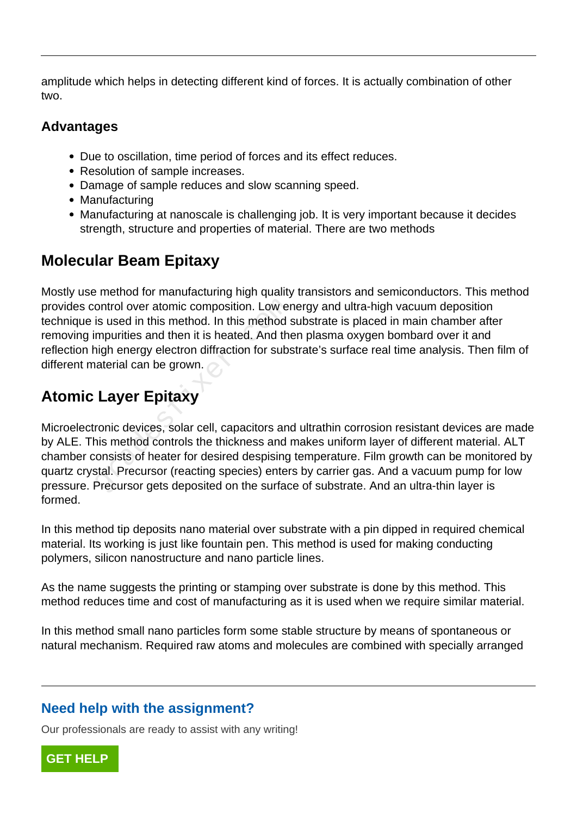amplitude which helps in detecting different kind of forces. It is actually combination of other two.

#### **Advantages**

- Due to oscillation, time period of forces and its effect reduces.
- Resolution of sample increases.
- Damage of sample reduces and slow scanning speed.
- Manufacturing
- Manufacturing at nanoscale is challenging job. It is very important because it decides strength, structure and properties of material. There are two methods

## **Molecular Beam Epitaxy**

Mostly use method for manufacturing high quality transistors and semiconductors. This method provides control over atomic composition. Low energy and ultra-high vacuum deposition technique is used in this method. In this method substrate is placed in main chamber after removing impurities and then it is heated. And then plasma oxygen bombard over it and reflection high energy electron diffraction for substrate's surface real time analysis. Then film of different material can be grown.

# **Atomic Layer Epitaxy**

Microelectronic devices, solar cell, capacitors and ultrathin corrosion resistant devices are made by ALE. This method controls the thickness and makes uniform layer of different material. ALT chamber consists of heater for desired despising temperature. Film growth can be monitored by quartz crystal. Precursor (reacting species) enters by carrier gas. And a vacuum pump for low pressure. Precursor gets deposited on the surface of substrate. And an ultra-thin layer is formed. ontrol over atomic composition. Low er<br>is used in this method. In this method s<br>mpurities and then it is heated. And the<br>nigh energy electron diffraction for subs<br>aterial can be grown.<br>**Layer Epitaxy**<br>ronic devices, solar

In this method tip deposits nano material over substrate with a pin dipped in required chemical material. Its working is just like fountain pen. This method is used for making conducting polymers, silicon nanostructure and nano particle lines.

As the name suggests the printing or stamping over substrate is done by this method. This method reduces time and cost of manufacturing as it is used when we require similar material.

In this method small nano particles form some stable structure by means of spontaneous or natural mechanism. Required raw atoms and molecules are combined with specially arranged

### **Need help with the assignment?**

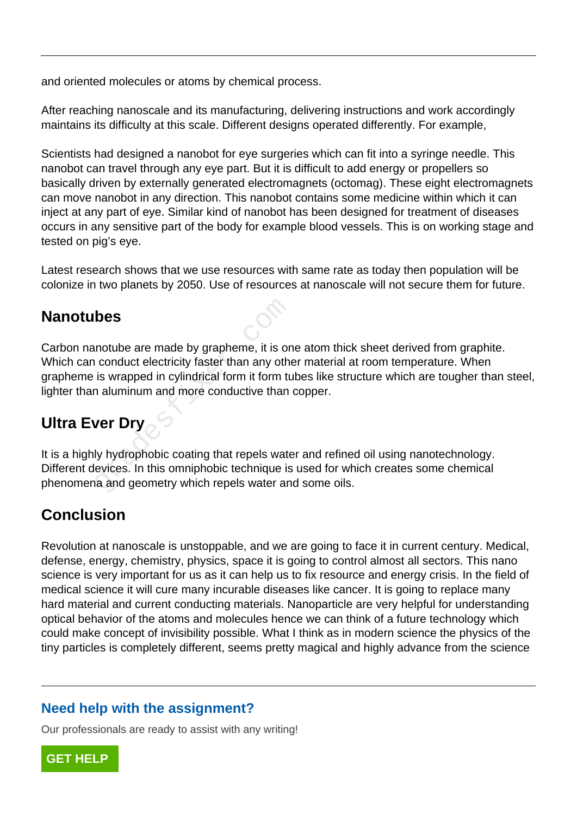and oriented molecules or atoms by chemical process.

After reaching nanoscale and its manufacturing, delivering instructions and work accordingly maintains its difficulty at this scale. Different designs operated differently. For example,

Scientists had designed a nanobot for eye surgeries which can fit into a syringe needle. This nanobot can travel through any eye part. But it is difficult to add energy or propellers so basically driven by externally generated electromagnets (octomag). These eight electromagnets can move nanobot in any direction. This nanobot contains some medicine within which it can inject at any part of eye. Similar kind of nanobot has been designed for treatment of diseases occurs in any sensitive part of the body for example blood vessels. This is on working stage and tested on pig's eye.

Latest research shows that we use resources with same rate as today then population will be colonize in two planets by 2050. Use of resources at nanoscale will not secure them for future.

### **Nanotubes**

Carbon nanotube are made by grapheme, it is one atom thick sheet derived from graphite. Which can conduct electricity faster than any other material at room temperature. When grapheme is wrapped in cylindrical form it form tubes like structure which are tougher than steel, lighter than aluminum and more conductive than copper. **bes**<br>
notube are made by grapheme, it is or<br>
conduct electricity faster than any other<br>
is wrapped in cylindrical form it form tu<br>
aluminum and more conductive than<br> **ver Dry**<br>
ly hydrophobic coating that repels wate<br>
evi

## **Ultra Ever Dry**

It is a highly hydrophobic coating that repels water and refined oil using nanotechnology. Different devices. In this omniphobic technique is used for which creates some chemical phenomena and geometry which repels water and some oils.

## **Conclusion**

Revolution at nanoscale is unstoppable, and we are going to face it in current century. Medical, defense, energy, chemistry, physics, space it is going to control almost all sectors. This nano science is very important for us as it can help us to fix resource and energy crisis. In the field of medical science it will cure many incurable diseases like cancer. It is going to replace many hard material and current conducting materials. Nanoparticle are very helpful for understanding optical behavior of the atoms and molecules hence we can think of a future technology which could make concept of invisibility possible. What I think as in modern science the physics of the tiny particles is completely different, seems pretty magical and highly advance from the science

#### **Need help with the assignment?**